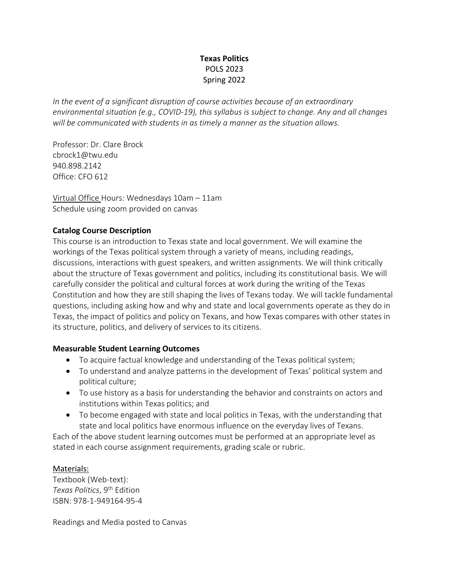# **Texas Politics** POLS 2023 Spring 2022

*In the event of a significant disruption of course activities because of an extraordinary environmental situation (e.g., COVID-19), this syllabus is subject to change. Any and all changes will be communicated with students in as timely a manner as the situation allows.*

Professor: Dr. Clare Brock cbrock1@twu.edu 940.898.2142 Office: CFO 612

Virtual Office Hours: Wednesdays 10am – 11am Schedule using zoom provided on canvas

# **Catalog Course Description**

This course is an introduction to Texas state and local government. We will examine the workings of the Texas political system through a variety of means, including readings, discussions, interactions with guest speakers, and written assignments. We will think critically about the structure of Texas government and politics, including its constitutional basis. We will carefully consider the political and cultural forces at work during the writing of the Texas Constitution and how they are still shaping the lives of Texans today. We will tackle fundamental questions, including asking how and why and state and local governments operate as they do in Texas, the impact of politics and policy on Texans, and how Texas compares with other states in its structure, politics, and delivery of services to its citizens.

## **Measurable Student Learning Outcomes**

- To acquire factual knowledge and understanding of the Texas political system;
- To understand and analyze patterns in the development of Texas' political system and political culture;
- To use history as a basis for understanding the behavior and constraints on actors and institutions within Texas politics; and
- To become engaged with state and local politics in Texas, with the understanding that state and local politics have enormous influence on the everyday lives of Texans.

Each of the above student learning outcomes must be performed at an appropriate level as stated in each course assignment requirements, grading scale or rubric.

## Materials:

Textbook (Web-text): *Texas Politics*, 9th Edition ISBN: 978-1-949164-95-4

Readings and Media posted to Canvas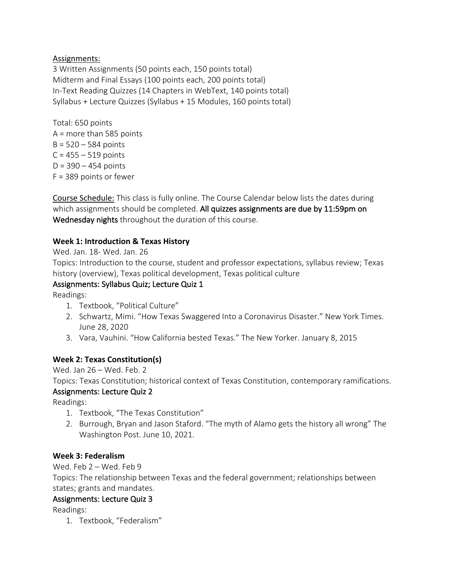# Assignments:

3 Written Assignments (50 points each, 150 points total) Midterm and Final Essays (100 points each, 200 points total) In-Text Reading Quizzes (14 Chapters in WebText, 140 points total) Syllabus + Lecture Quizzes (Syllabus + 15 Modules, 160 points total)

Total: 650 points A = more than 585 points  $B = 520 - 584$  points  $C = 455 - 519$  points  $D = 390 - 454$  points F = 389 points or fewer

Course Schedule: This class is fully online. The Course Calendar below lists the dates during which assignments should be completed. All quizzes assignments are due by 11:59pm on Wednesday nights throughout the duration of this course.

# **Week 1: Introduction & Texas History**

Wed. Jan. 18- Wed. Jan. 26

Topics: Introduction to the course, student and professor expectations, syllabus review; Texas history (overview), Texas political development, Texas political culture

# Assignments: Syllabus Quiz; Lecture Quiz 1

Readings:

- 1. Textbook, "Political Culture"
- 2. Schwartz, Mimi. "How Texas Swaggered Into a Coronavirus Disaster." New York Times. June 28, 2020
- 3. Vara, Vauhini. "How California bested Texas." The New Yorker. January 8, 2015

## **Week 2: Texas Constitution(s)**

Wed. Jan 26 – Wed. Feb. 2

Topics: Texas Constitution; historical context of Texas Constitution, contemporary ramifications.

## Assignments: Lecture Quiz 2

Readings:

- 1. Textbook, "The Texas Constitution"
- 2. Burrough, Bryan and Jason Staford. "The myth of Alamo gets the history all wrong" The Washington Post. June 10, 2021.

## **Week 3: Federalism**

Wed. Feb 2 – Wed. Feb 9

Topics: The relationship between Texas and the federal government; relationships between states; grants and mandates.

## Assignments: Lecture Quiz 3

Readings:

1. Textbook, "Federalism"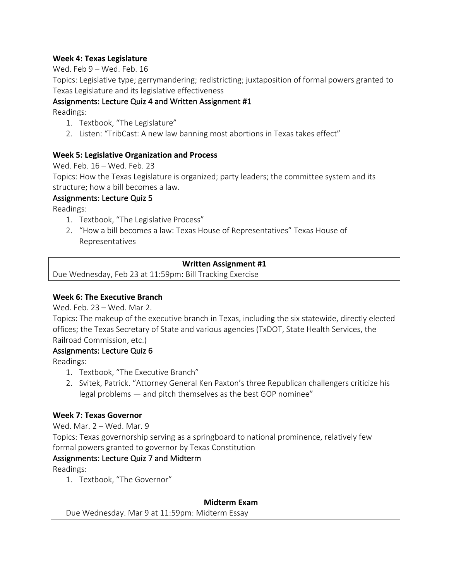## **Week 4: Texas Legislature**

Wed. Feb 9 – Wed. Feb. 16

Topics: Legislative type; gerrymandering; redistricting; juxtaposition of formal powers granted to Texas Legislature and its legislative effectiveness

# Assignments: Lecture Quiz 4 and Written Assignment #1

Readings:

- 1. Textbook, "The Legislature"
- 2. Listen: "TribCast: A new law banning most abortions in Texas takes effect"

# **Week 5: Legislative Organization and Process**

Wed. Feb. 16 – Wed. Feb. 23

Topics: How the Texas Legislature is organized; party leaders; the committee system and its structure; how a bill becomes a law.

# Assignments: Lecture Quiz 5

Readings:

- 1. Textbook, "The Legislative Process"
- 2. "How a bill becomes a law: Texas House of Representatives" Texas House of Representatives

## **Written Assignment #1**

Due Wednesday, Feb 23 at 11:59pm: Bill Tracking Exercise

## **Week 6: The Executive Branch**

Wed. Feb. 23 – Wed. Mar 2.

Topics: The makeup of the executive branch in Texas, including the six statewide, directly elected offices; the Texas Secretary of State and various agencies (TxDOT, State Health Services, the Railroad Commission, etc.)

## Assignments: Lecture Quiz 6

Readings:

- 1. Textbook, "The Executive Branch"
- 2. Svitek, Patrick. "Attorney General Ken Paxton's three Republican challengers criticize his legal problems — and pitch themselves as the best GOP nominee"

# **Week 7: Texas Governor**

Wed. Mar. 2 – Wed. Mar. 9

Topics: Texas governorship serving as a springboard to national prominence, relatively few formal powers granted to governor by Texas Constitution

# Assignments: Lecture Quiz 7 and Midterm

Readings:

1. Textbook, "The Governor"

## **Midterm Exam**

Due Wednesday. Mar 9 at 11:59pm: Midterm Essay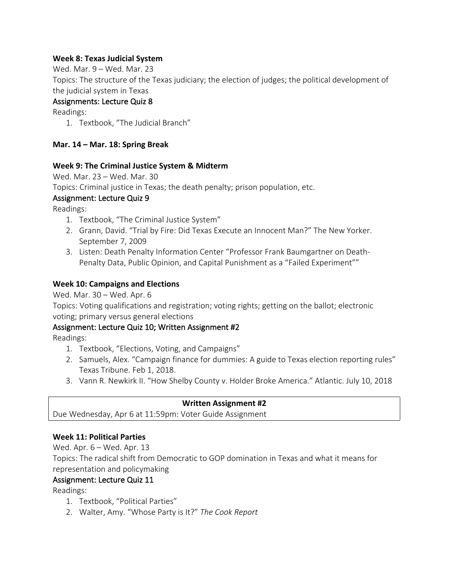## **Week 8: Texas Judicial System**

Wed. Mar. 9 – Wed. Mar. 23

Topics: The structure of the Texas judiciary; the election of judges; the political development of the judicial system in Texas

## Assignments: Lecture Quiz 8

Readings:

1. Textbook, "The Judicial Branch"

## **Mar. 14 – Mar. 18: Spring Break**

#### **Week 9: The Criminal Justice System & Midterm**

Wed. Mar. 23 – Wed. Mar. 30

Topics: Criminal justice in Texas; the death penalty; prison population, etc.

## Assignment: Lecture Quiz 9

Readings:

- 1. Textbook, "The Criminal Justice System"
- 2. Grann, David. "Trial by Fire: Did Texas Execute an Innocent Man?" The New Yorker. September 7, 2009
- 3. Listen: Death Penalty Information Center "Professor Frank Baumgartner on Death-Penalty Data, Public Opinion, and Capital Punishment as a "Failed Experiment""

## **Week 10: Campaigns and Elections**

Wed. Mar. 30 – Wed. Apr. 6

Topics: Voting qualifications and registration; voting rights; getting on the ballot; electronic voting; primary versus general elections

## Assignment: Lecture Quiz 10; Written Assignment #2

Readings:

- 1. Textbook, "Elections, Voting, and Campaigns"
- 2. Samuels, Alex. "Campaign finance for dummies: A guide to Texas election reporting rules" Texas Tribune. Feb 1, 2018.
- 3. Vann R. Newkirk II. "How Shelby County v. Holder Broke America." Atlantic. July 10, 2018

## **Written Assignment #2**

Due Wednesday, Apr 6 at 11:59pm: Voter Guide Assignment

## **Week 11: Political Parties**

Wed. Apr. 6 – Wed. Apr. 13 Topics: The radical shift from Democratic to GOP domination in Texas and what it means for representation and policymaking

## Assignment: Lecture Quiz 11

Readings:

- 1. Textbook, "Political Parties"
- 2. Walter, Amy. "Whose Party is It?" *The Cook Report*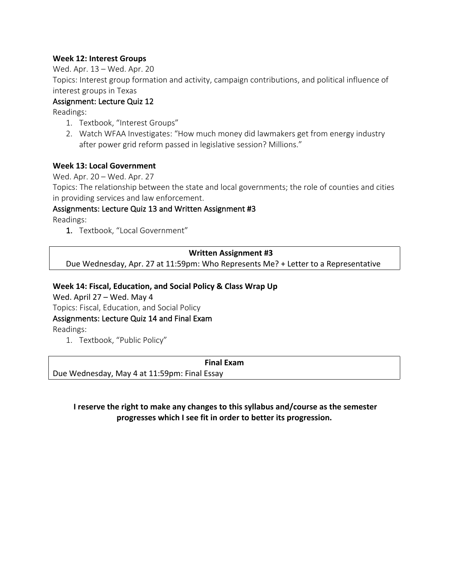#### **Week 12: Interest Groups**

Wed. Apr. 13 – Wed. Apr. 20

Topics: Interest group formation and activity, campaign contributions, and political influence of interest groups in Texas

## Assignment: Lecture Quiz 12

Readings:

- 1. Textbook, "Interest Groups"
- 2. Watch WFAA Investigates: "How much money did lawmakers get from energy industry after power grid reform passed in legislative session? Millions."

#### **Week 13: Local Government**

Wed. Apr. 20 – Wed. Apr. 27

Topics: The relationship between the state and local governments; the role of counties and cities in providing services and law enforcement.

#### Assignments: Lecture Quiz 13 and Written Assignment #3

Readings:

1. Textbook, "Local Government"

#### **Written Assignment #3**

Due Wednesday, Apr. 27 at 11:59pm: Who Represents Me? + Letter to a Representative

#### **Week 14: Fiscal, Education, and Social Policy & Class Wrap Up**

Wed. April 27 – Wed. May 4

Topics: Fiscal, Education, and Social Policy

Assignments: Lecture Quiz 14 and Final Exam

Readings:

1. Textbook, "Public Policy"

**Final Exam**

Due Wednesday, May 4 at 11:59pm: Final Essay

## **I reserve the right to make any changes to this syllabus and/course as the semester progresses which I see fit in order to better its progression.**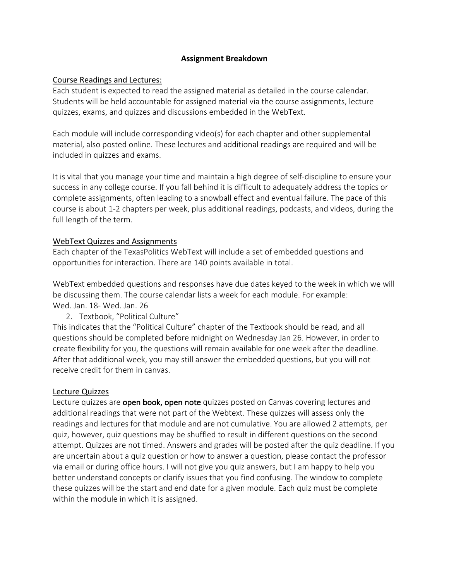#### **Assignment Breakdown**

#### Course Readings and Lectures:

Each student is expected to read the assigned material as detailed in the course calendar. Students will be held accountable for assigned material via the course assignments, lecture quizzes, exams, and quizzes and discussions embedded in the WebText.

Each module will include corresponding video(s) for each chapter and other supplemental material, also posted online. These lectures and additional readings are required and will be included in quizzes and exams.

It is vital that you manage your time and maintain a high degree of self-discipline to ensure your success in any college course. If you fall behind it is difficult to adequately address the topics or complete assignments, often leading to a snowball effect and eventual failure. The pace of this course is about 1-2 chapters per week, plus additional readings, podcasts, and videos, during the full length of the term.

#### WebText Quizzes and Assignments

Each chapter of the TexasPolitics WebText will include a set of embedded questions and opportunities for interaction. There are 140 points available in total.

WebText embedded questions and responses have due dates keyed to the week in which we will be discussing them. The course calendar lists a week for each module. For example: Wed. Jan. 18- Wed. Jan. 26

2. Textbook, "Political Culture"

This indicates that the "Political Culture" chapter of the Textbook should be read, and all questions should be completed before midnight on Wednesday Jan 26. However, in order to create flexibility for you, the questions will remain available for one week after the deadline. After that additional week, you may still answer the embedded questions, but you will not receive credit for them in canvas.

#### Lecture Quizzes

Lecture quizzes are open book, open note quizzes posted on Canvas covering lectures and additional readings that were not part of the Webtext. These quizzes will assess only the readings and lectures for that module and are not cumulative. You are allowed 2 attempts, per quiz, however, quiz questions may be shuffled to result in different questions on the second attempt. Quizzes are not timed. Answers and grades will be posted after the quiz deadline. If you are uncertain about a quiz question or how to answer a question, please contact the professor via email or during office hours. I will not give you quiz answers, but I am happy to help you better understand concepts or clarify issues that you find confusing. The window to complete these quizzes will be the start and end date for a given module. Each quiz must be complete within the module in which it is assigned.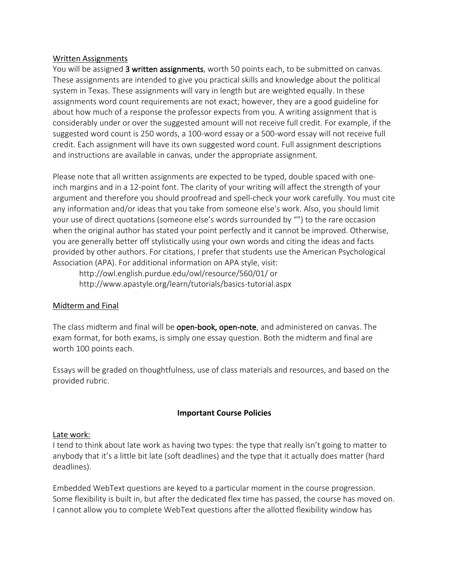#### Written Assignments

You will be assigned 3 written assignments, worth 50 points each, to be submitted on canvas. These assignments are intended to give you practical skills and knowledge about the political system in Texas. These assignments will vary in length but are weighted equally. In these assignments word count requirements are not exact; however, they are a good guideline for about how much of a response the professor expects from you. A writing assignment that is considerably under or over the suggested amount will not receive full credit. For example, if the suggested word count is 250 words, a 100-word essay or a 500-word essay will not receive full credit. Each assignment will have its own suggested word count. Full assignment descriptions and instructions are available in canvas, under the appropriate assignment.

Please note that all written assignments are expected to be typed, double spaced with oneinch margins and in a 12-point font. The clarity of your writing will affect the strength of your argument and therefore you should proofread and spell-check your work carefully. You must cite any information and/or ideas that you take from someone else's work. Also, you should limit your use of direct quotations (someone else's words surrounded by "") to the rare occasion when the original author has stated your point perfectly and it cannot be improved. Otherwise, you are generally better off stylistically using your own words and citing the ideas and facts provided by other authors. For citations, I prefer that students use the American Psychological Association (APA). For additional information on APA style, visit:

http://owl.english.purdue.edu/owl/resource/560/01/ or http://www.apastyle.org/learn/tutorials/basics-tutorial.aspx

#### Midterm and Final

The class midterm and final will be open-book, open-note, and administered on canvas. The exam format, for both exams, is simply one essay question. Both the midterm and final are worth 100 points each.

Essays will be graded on thoughtfulness, use of class materials and resources, and based on the provided rubric.

#### **Important Course Policies**

#### Late work:

I tend to think about late work as having two types: the type that really isn't going to matter to anybody that it's a little bit late (soft deadlines) and the type that it actually does matter (hard deadlines).

Embedded WebText questions are keyed to a particular moment in the course progression. Some flexibility is built in, but after the dedicated flex time has passed, the course has moved on. I cannot allow you to complete WebText questions after the allotted flexibility window has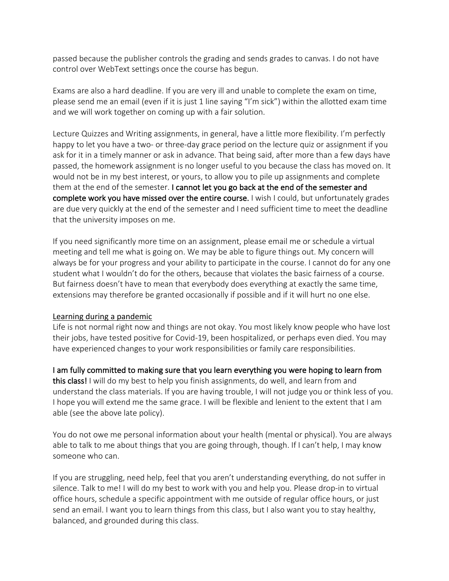passed because the publisher controls the grading and sends grades to canvas. I do not have control over WebText settings once the course has begun.

Exams are also a hard deadline. If you are very ill and unable to complete the exam on time, please send me an email (even if it is just 1 line saying "I'm sick") within the allotted exam time and we will work together on coming up with a fair solution.

Lecture Quizzes and Writing assignments, in general, have a little more flexibility. I'm perfectly happy to let you have a two- or three-day grace period on the lecture quiz or assignment if you ask for it in a timely manner or ask in advance. That being said, after more than a few days have passed, the homework assignment is no longer useful to you because the class has moved on. It would not be in my best interest, or yours, to allow you to pile up assignments and complete them at the end of the semester. I cannot let you go back at the end of the semester and complete work you have missed over the entire course. I wish I could, but unfortunately grades are due very quickly at the end of the semester and I need sufficient time to meet the deadline that the university imposes on me.

If you need significantly more time on an assignment, please email me or schedule a virtual meeting and tell me what is going on. We may be able to figure things out. My concern will always be for your progress and your ability to participate in the course. I cannot do for any one student what I wouldn't do for the others, because that violates the basic fairness of a course. But fairness doesn't have to mean that everybody does everything at exactly the same time, extensions may therefore be granted occasionally if possible and if it will hurt no one else.

## Learning during a pandemic

Life is not normal right now and things are not okay. You most likely know people who have lost their jobs, have tested positive for Covid-19, been hospitalized, or perhaps even died. You may have experienced changes to your work responsibilities or family care responsibilities.

I am fully committed to making sure that you learn everything you were hoping to learn from this class! I will do my best to help you finish assignments, do well, and learn from and understand the class materials. If you are having trouble, I will not judge you or think less of you. I hope you will extend me the same grace. I will be flexible and lenient to the extent that I am able (see the above late policy).

You do not owe me personal information about your health (mental or physical). You are always able to talk to me about things that you are going through, though. If I can't help, I may know someone who can.

If you are struggling, need help, feel that you aren't understanding everything, do not suffer in silence. Talk to me! I will do my best to work with you and help you. Please drop-in to virtual office hours, schedule a specific appointment with me outside of regular office hours, or just send an email. I want you to learn things from this class, but I also want you to stay healthy, balanced, and grounded during this class.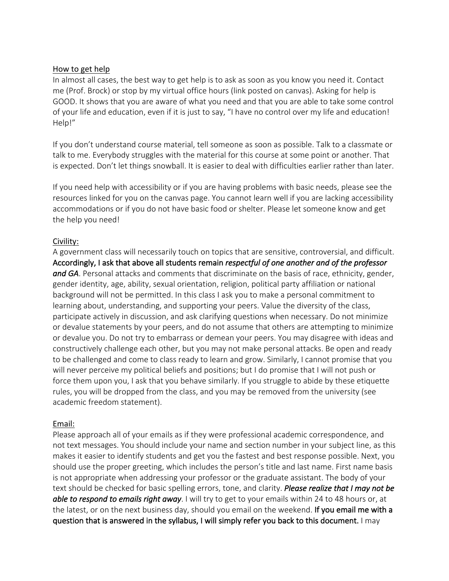#### How to get help

In almost all cases, the best way to get help is to ask as soon as you know you need it. Contact me (Prof. Brock) or stop by my virtual office hours (link posted on canvas). Asking for help is GOOD. It shows that you are aware of what you need and that you are able to take some control of your life and education, even if it is just to say, "I have no control over my life and education! Help!"

If you don't understand course material, tell someone as soon as possible. Talk to a classmate or talk to me. Everybody struggles with the material for this course at some point or another. That is expected. Don't let things snowball. It is easier to deal with difficulties earlier rather than later.

If you need help with accessibility or if you are having problems with basic needs, please see the resources linked for you on the canvas page. You cannot learn well if you are lacking accessibility accommodations or if you do not have basic food or shelter. Please let someone know and get the help you need!

#### Civility:

A government class will necessarily touch on topics that are sensitive, controversial, and difficult. Accordingly, I ask that above all students remain *respectful of one another and of the professor and GA*. Personal attacks and comments that discriminate on the basis of race, ethnicity, gender, gender identity, age, ability, sexual orientation, religion, political party affiliation or national background will not be permitted. In this class I ask you to make a personal commitment to learning about, understanding, and supporting your peers. Value the diversity of the class, participate actively in discussion, and ask clarifying questions when necessary. Do not minimize or devalue statements by your peers, and do not assume that others are attempting to minimize or devalue you. Do not try to embarrass or demean your peers. You may disagree with ideas and constructively challenge each other, but you may not make personal attacks. Be open and ready to be challenged and come to class ready to learn and grow. Similarly, I cannot promise that you will never perceive my political beliefs and positions; but I do promise that I will not push or force them upon you, I ask that you behave similarly. If you struggle to abide by these etiquette rules, you will be dropped from the class, and you may be removed from the university (see academic freedom statement).

## Email:

Please approach all of your emails as if they were professional academic correspondence, and not text messages. You should include your name and section number in your subject line, as this makes it easier to identify students and get you the fastest and best response possible. Next, you should use the proper greeting, which includes the person's title and last name. First name basis is not appropriate when addressing your professor or the graduate assistant. The body of your text should be checked for basic spelling errors, tone, and clarity. *Please realize that I may not be able to respond to emails right away*. I will try to get to your emails within 24 to 48 hours or, at the latest, or on the next business day, should you email on the weekend. If you email me with a question that is answered in the syllabus, I will simply refer you back to this document. I may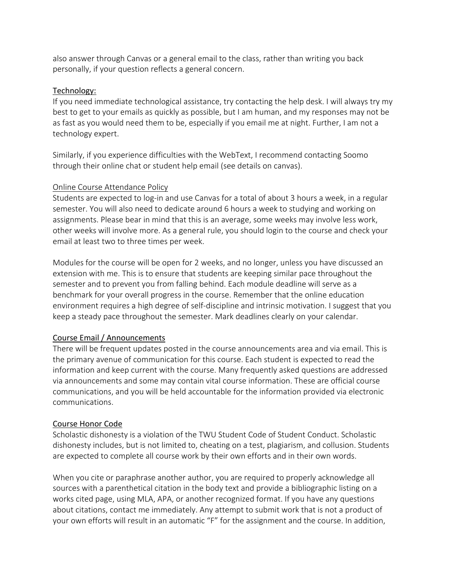also answer through Canvas or a general email to the class, rather than writing you back personally, if your question reflects a general concern.

#### Technology:

If you need immediate technological assistance, try contacting the help desk. I will always try my best to get to your emails as quickly as possible, but I am human, and my responses may not be as fast as you would need them to be, especially if you email me at night. Further, I am not a technology expert.

Similarly, if you experience difficulties with the WebText, I recommend contacting Soomo through their online chat or student help email (see details on canvas).

#### Online Course Attendance Policy

Students are expected to log-in and use Canvas for a total of about 3 hours a week, in a regular semester. You will also need to dedicate around 6 hours a week to studying and working on assignments. Please bear in mind that this is an average, some weeks may involve less work, other weeks will involve more. As a general rule, you should login to the course and check your email at least two to three times per week.

Modules for the course will be open for 2 weeks, and no longer, unless you have discussed an extension with me. This is to ensure that students are keeping similar pace throughout the semester and to prevent you from falling behind. Each module deadline will serve as a benchmark for your overall progress in the course. Remember that the online education environment requires a high degree of self-discipline and intrinsic motivation. I suggest that you keep a steady pace throughout the semester. Mark deadlines clearly on your calendar.

## Course Email / Announcements

There will be frequent updates posted in the course announcements area and via email. This is the primary avenue of communication for this course. Each student is expected to read the information and keep current with the course. Many frequently asked questions are addressed via announcements and some may contain vital course information. These are official course communications, and you will be held accountable for the information provided via electronic communications.

## Course Honor Code

Scholastic dishonesty is a violation of the TWU Student Code of Student Conduct. Scholastic dishonesty includes, but is not limited to, cheating on a test, plagiarism, and collusion. Students are expected to complete all course work by their own efforts and in their own words.

When you cite or paraphrase another author, you are required to properly acknowledge all sources with a parenthetical citation in the body text and provide a bibliographic listing on a works cited page, using MLA, APA, or another recognized format. If you have any questions about citations, contact me immediately. Any attempt to submit work that is not a product of your own efforts will result in an automatic "F" for the assignment and the course. In addition,